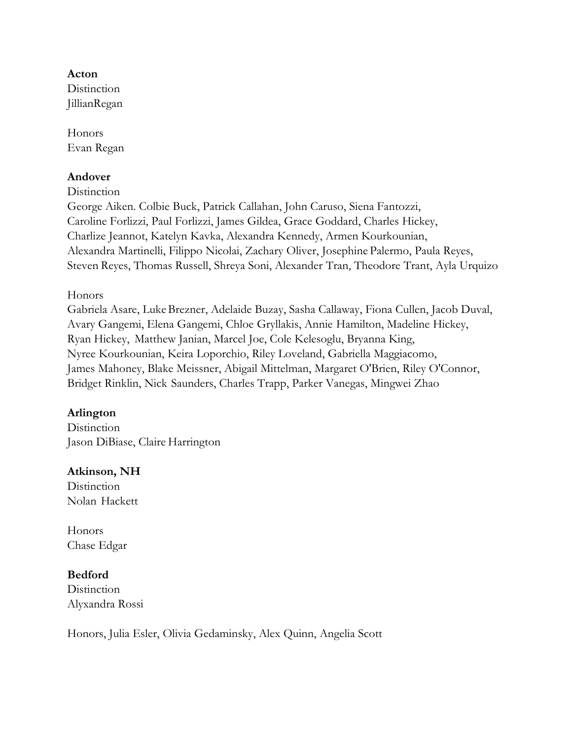### **Acton**

**Distinction** JillianRegan

Honors Evan Regan

## **Andover**

**Distinction** 

George Aiken. Colbie Buck, Patrick Callahan, John Caruso, Siena Fantozzi, Caroline Forlizzi, Paul Forlizzi, James Gildea, Grace Goddard, Charles Hickey, Charlize Jeannot, Katelyn Kavka, Alexandra Kennedy, Armen Kourkounian, Alexandra Martinelli, Filippo Nicolai, Zachary Oliver, Josephine Palermo, Paula Reyes, Steven Reyes, Thomas Russell, Shreya Soni, Alexander Tran, Theodore Trant, Ayla Urquizo

Honors

Gabriela Asare, LukeBrezner, Adelaide Buzay, Sasha Callaway, Fiona Cullen, Jacob Duval, Avary Gangemi, Elena Gangemi, Chloe Gryllakis, Annie Hamilton, Madeline Hickey, Ryan Hickey, Matthew Janian, Marcel Joe, Cole Kelesoglu, Bryanna King, Nyree Kourkounian, Keira Loporchio, Riley Loveland, Gabriella Maggiacomo, James Mahoney, Blake Meissner, Abigail Mittelman, Margaret O'Brien, Riley O'Connor, Bridget Rinklin, Nick Saunders, Charles Trapp, Parker Vanegas, Mingwei Zhao

## **Arlington**

**Distinction** Jason DiBiase, Claire Harrington

## **Atkinson, NH**

**Distinction** Nolan Hackett

Honors Chase Edgar

## **Bedford**

**Distinction** Alyxandra Rossi

Honors, Julia Esler, Olivia Gedaminsky, Alex Quinn, Angelia Scott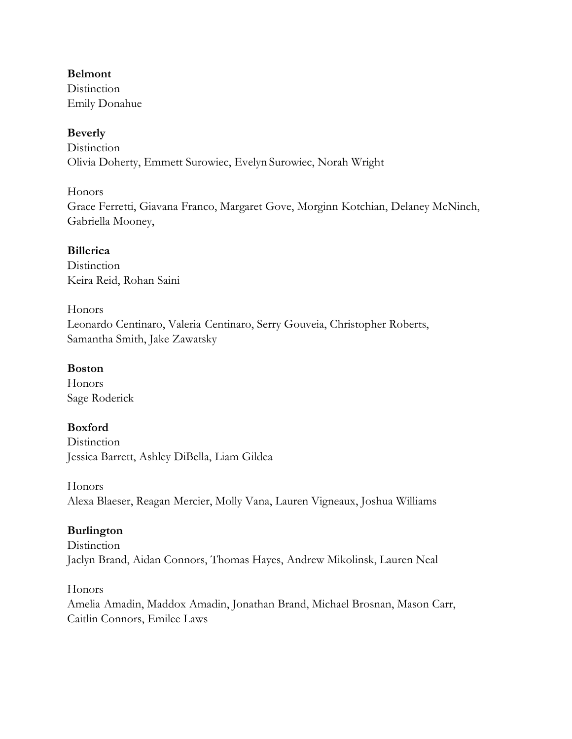## **Belmont**

**Distinction** Emily Donahue

# **Beverly**

**Distinction** Olivia Doherty, Emmett Surowiec, Evelyn Surowiec, Norah Wright

## Honors

Grace Ferretti, Giavana Franco, Margaret Gove, Morginn Kotchian, Delaney McNinch, Gabriella Mooney,

## **Billerica**

**Distinction** Keira Reid, Rohan Saini

## Honors

Leonardo Centinaro, Valeria Centinaro, Serry Gouveia, Christopher Roberts, Samantha Smith, Jake Zawatsky

## **Boston**

Honors Sage Roderick

# **Boxford**

**Distinction** Jessica Barrett, Ashley DiBella, Liam Gildea

## Honors

Alexa Blaeser, Reagan Mercier, Molly Vana, Lauren Vigneaux, Joshua Williams

# **Burlington**

**Distinction** Jaclyn Brand, Aidan Connors, Thomas Hayes, Andrew Mikolinsk, Lauren Neal

## Honors

Amelia Amadin, Maddox Amadin, Jonathan Brand, Michael Brosnan, Mason Carr, Caitlin Connors, Emilee Laws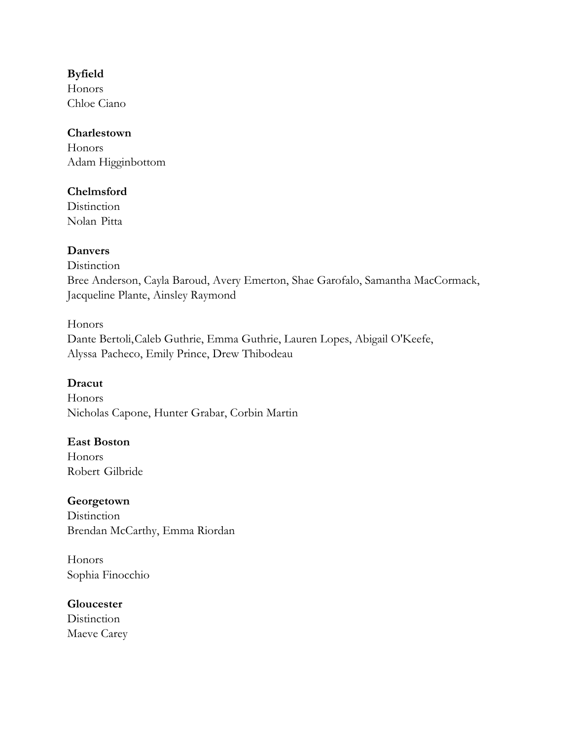## **Byfield**

Honors Chloe Ciano

### **Charlestown**

Honors Adam Higginbottom

## **Chelmsford**

**Distinction** Nolan Pitta

# **Danvers**

**Distinction** Bree Anderson, Cayla Baroud, Avery Emerton, Shae Garofalo, Samantha MacCormack, Jacqueline Plante, Ainsley Raymond

## Honors

Dante Bertoli,Caleb Guthrie, Emma Guthrie, Lauren Lopes, Abigail O'Keefe, Alyssa Pacheco, Emily Prince, Drew Thibodeau

# **Dracut**

Honors Nicholas Capone, Hunter Grabar, Corbin Martin

## **East Boston**

Honors Robert Gilbride

# **Georgetown**

**Distinction** Brendan McCarthy, Emma Riordan

Honors Sophia Finocchio

## **Gloucester**

**Distinction** Maeve Carey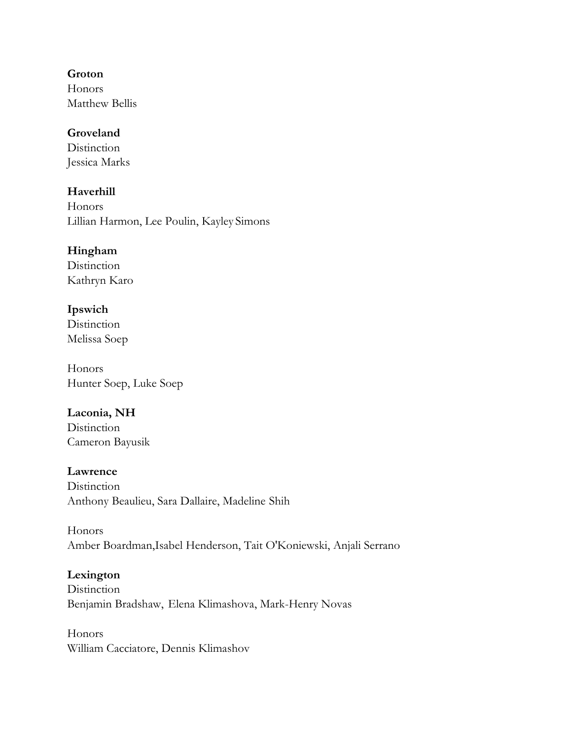### **Groton**

Honors Matthew Bellis

## **Groveland**

**Distinction** Jessica Marks

# **Haverhill**

**Honors** Lillian Harmon, Lee Poulin, Kayley Simons

# **Hingham**

**Distinction** Kathryn Karo

## **Ipswich**

**Distinction** Melissa Soep

Honors Hunter Soep, Luke Soep

# **Laconia, NH**

**Distinction** Cameron Bayusik

## **Lawrence**

**Distinction** Anthony Beaulieu, Sara Dallaire, Madeline Shih

Honors Amber Boardman,Isabel Henderson, Tait O'Koniewski, Anjali Serrano

## **Lexington**

**Distinction** Benjamin Bradshaw, Elena Klimashova, Mark-Henry Novas

Honors William Cacciatore, Dennis Klimashov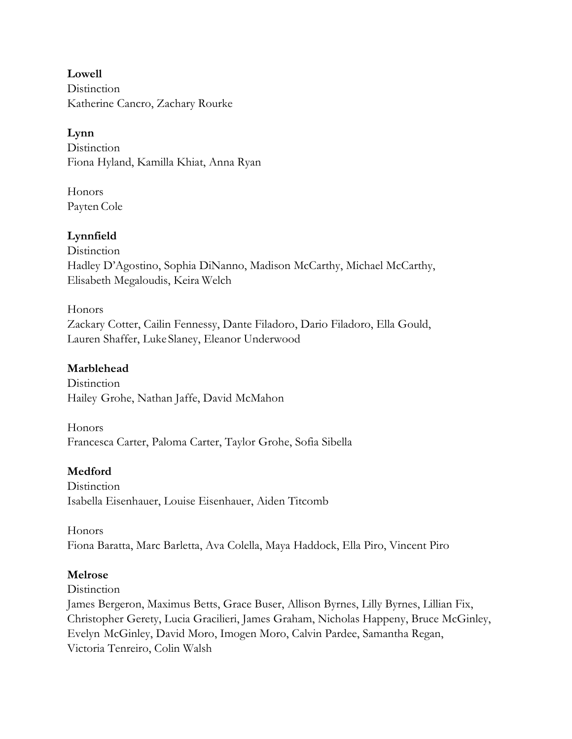**Lowell Distinction** Katherine Cancro, Zachary Rourke

## **Lynn**

**Distinction** Fiona Hyland, Kamilla Khiat, Anna Ryan

Honors Payten Cole

## **Lynnfield**

**Distinction** Hadley D'Agostino, Sophia DiNanno, Madison McCarthy, Michael McCarthy, Elisabeth Megaloudis, Keira Welch

Honors Zackary Cotter, Cailin Fennessy, Dante Filadoro, Dario Filadoro, Ella Gould, Lauren Shaffer, Luke Slaney, Eleanor Underwood

## **Marblehead**

**Distinction** Hailey Grohe, Nathan Jaffe, David McMahon

Honors Francesca Carter, Paloma Carter, Taylor Grohe, Sofia Sibella

# **Medford**

**Distinction** Isabella Eisenhauer, Louise Eisenhauer, Aiden Titcomb

Honors Fiona Baratta, Marc Barletta, Ava Colella, Maya Haddock, Ella Piro, Vincent Piro

## **Melrose**

**Distinction** 

James Bergeron, Maximus Betts, Grace Buser, Allison Byrnes, Lilly Byrnes, Lillian Fix, Christopher Gerety, Lucia Gracilieri, James Graham, Nicholas Happeny, Bruce McGinley, Evelyn McGinley, David Moro, Imogen Moro, Calvin Pardee, Samantha Regan, Victoria Tenreiro, Colin Walsh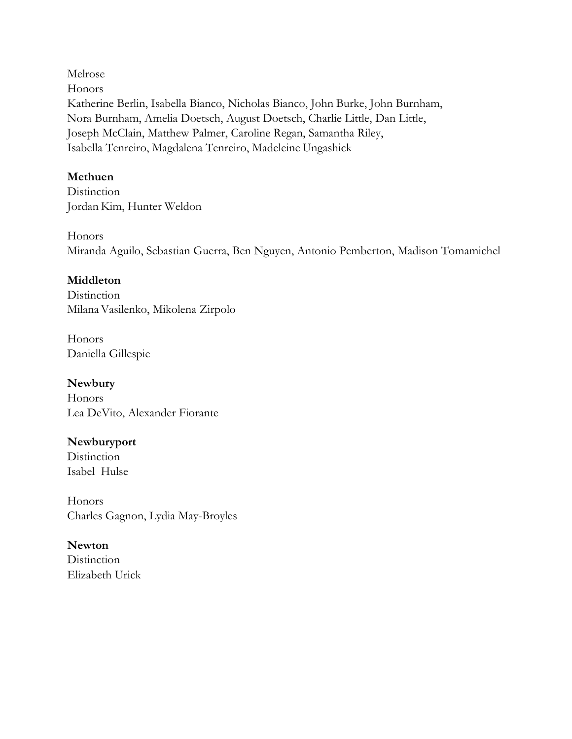Melrose Honors Katherine Berlin, Isabella Bianco, Nicholas Bianco, John Burke, John Burnham, Nora Burnham, Amelia Doetsch, August Doetsch, Charlie Little, Dan Little, Joseph McClain, Matthew Palmer, Caroline Regan, Samantha Riley, Isabella Tenreiro, Magdalena Tenreiro, Madeleine Ungashick

### **Methuen**

**Distinction** Jordan Kim, Hunter Weldon

Honors Miranda Aguilo, Sebastian Guerra, Ben Nguyen, Antonio Pemberton, Madison Tomamichel

## **Middleton**

**Distinction** MilanaVasilenko, Mikolena Zirpolo

Honors Daniella Gillespie

**Newbury** Honors Lea DeVito, Alexander Fiorante

## **Newburyport**

**Distinction** Isabel Hulse

Honors Charles Gagnon, Lydia May-Broyles

**Newton Distinction** 

Elizabeth Urick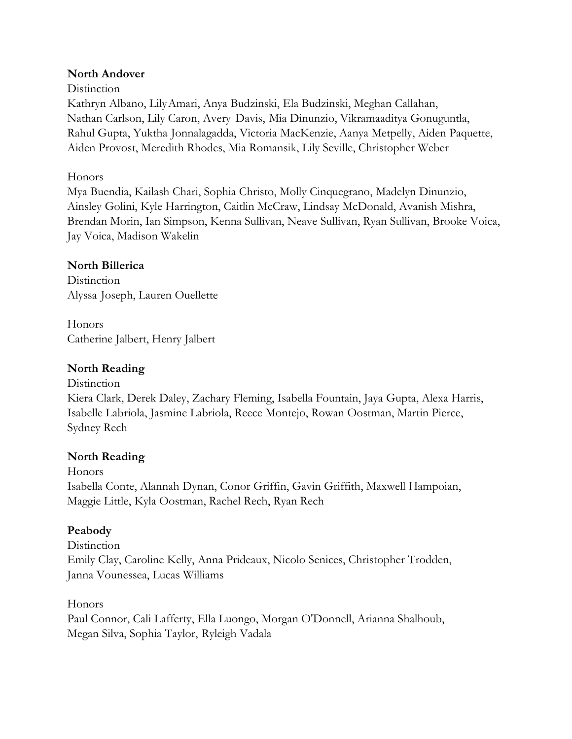### **North Andover**

#### **Distinction**

Kathryn Albano, LilyAmari, Anya Budzinski, Ela Budzinski, Meghan Callahan, Nathan Carlson, Lily Caron, Avery Davis, Mia Dinunzio, Vikramaaditya Gonuguntla, Rahul Gupta, Yuktha Jonnalagadda, Victoria MacKenzie, Aanya Metpelly, Aiden Paquette, Aiden Provost, Meredith Rhodes, Mia Romansik, Lily Seville, Christopher Weber

#### **Honors**

Mya Buendia, Kailash Chari, Sophia Christo, Molly Cinquegrano, Madelyn Dinunzio, Ainsley Golini, Kyle Harrington, Caitlin McCraw, Lindsay McDonald, Avanish Mishra, Brendan Morin, Ian Simpson, Kenna Sullivan, Neave Sullivan, Ryan Sullivan, Brooke Voica, Jay Voica, Madison Wakelin

#### **North Billerica**

**Distinction** Alyssa Joseph, Lauren Ouellette

Honors Catherine Jalbert, Henry Jalbert

### **North Reading**

**Distinction** Kiera Clark, Derek Daley, Zachary Fleming, Isabella Fountain, Jaya Gupta, Alexa Harris, Isabelle Labriola, Jasmine Labriola, Reece Montejo, Rowan Oostman, Martin Pierce, Sydney Rech

## **North Reading**

Honors Isabella Conte, Alannah Dynan, Conor Griffin, Gavin Griffith, Maxwell Hampoian, Maggie Little, Kyla Oostman, Rachel Rech, Ryan Rech

## **Peabody**

**Distinction** Emily Clay, Caroline Kelly, Anna Prideaux, Nicolo Senices, Christopher Trodden, Janna Vounessea, Lucas Williams

#### Honors

Paul Connor, Cali Lafferty, Ella Luongo, Morgan O'Donnell, Arianna Shalhoub, Megan Silva, Sophia Taylor, Ryleigh Vadala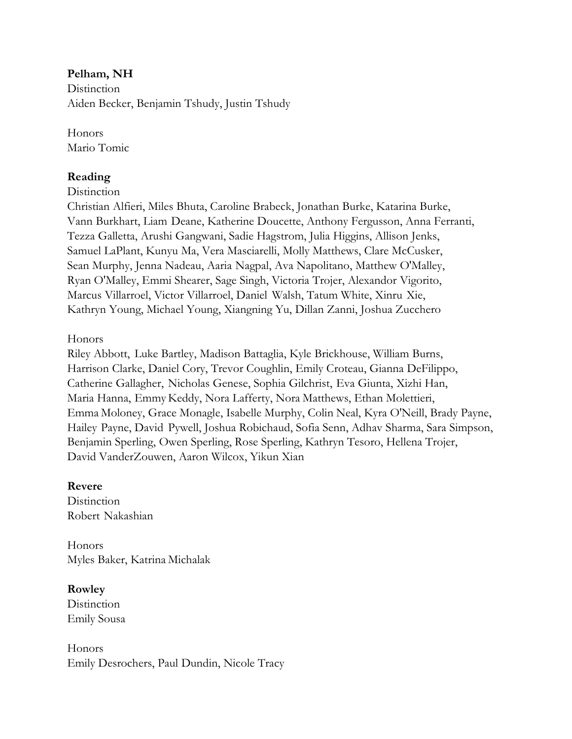### **Pelham, NH**

**Distinction** Aiden Becker, Benjamin Tshudy, Justin Tshudy

Honors Mario Tomic

### **Reading**

#### **Distinction**

Christian Alfieri, Miles Bhuta, Caroline Brabeck, Jonathan Burke, Katarina Burke, Vann Burkhart, Liam Deane, Katherine Doucette, Anthony Fergusson, Anna Ferranti, Tezza Galletta, Arushi Gangwani, Sadie Hagstrom, Julia Higgins, Allison Jenks, Samuel LaPlant, Kunyu Ma, Vera Masciarelli, Molly Matthews, Clare McCusker, Sean Murphy, Jenna Nadeau, Aaria Nagpal, Ava Napolitano, Matthew O'Malley, Ryan O'Malley, Emmi Shearer, Sage Singh, Victoria Trojer, Alexandor Vigorito, Marcus Villarroel, Victor Villarroel, Daniel Walsh, Tatum White, Xinru Xie, Kathryn Young, Michael Young, Xiangning Yu, Dillan Zanni, Joshua Zucchero

Honors

Riley Abbott, Luke Bartley, Madison Battaglia, Kyle Brickhouse, William Burns, Harrison Clarke, Daniel Cory, Trevor Coughlin, Emily Croteau, Gianna DeFilippo, Catherine Gallagher, Nicholas Genese, Sophia Gilchrist, Eva Giunta, Xizhi Han, Maria Hanna, Emmy Keddy, Nora Lafferty, Nora Matthews, Ethan Molettieri, Emma Moloney, Grace Monagle, Isabelle Murphy, Colin Neal, Kyra O'Neill, Brady Payne, Hailey Payne, David Pywell, Joshua Robichaud, Sofia Senn, Adhav Sharma, Sara Simpson, Benjamin Sperling, Owen Sperling, Rose Sperling, Kathryn Tesoro, Hellena Trojer, David VanderZouwen, Aaron Wilcox, Yikun Xian

#### **Revere**

**Distinction** Robert Nakashian

Honors Myles Baker, Katrina Michalak

#### **Rowley**

**Distinction** Emily Sousa

Honors Emily Desrochers, Paul Dundin, Nicole Tracy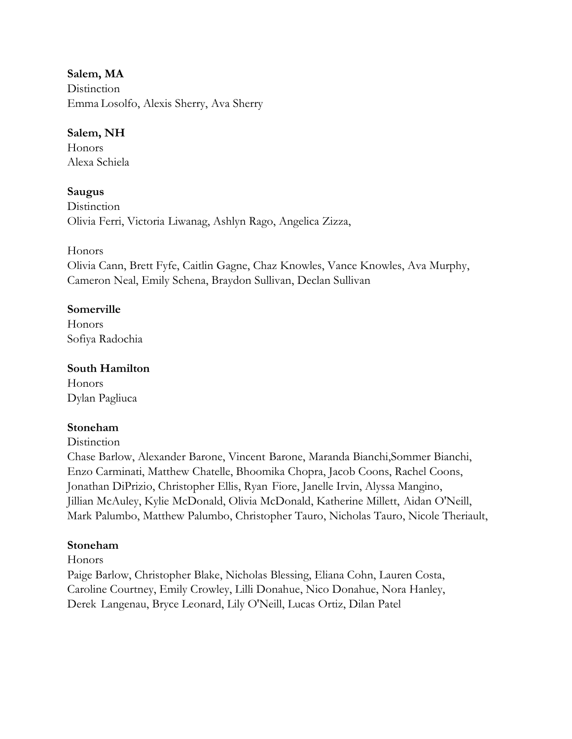**Salem, MA Distinction** Emma Losolfo, Alexis Sherry, Ava Sherry

## **Salem, NH**

Honors Alexa Schiela

## **Saugus**

**Distinction** Olivia Ferri, Victoria Liwanag, Ashlyn Rago, Angelica Zizza,

### Honors

Olivia Cann, Brett Fyfe, Caitlin Gagne, Chaz Knowles, Vance Knowles, Ava Murphy, Cameron Neal, Emily Schena, Braydon Sullivan, Declan Sullivan

### **Somerville**

Honors Sofiya Radochia

## **South Hamilton**

Honors Dylan Pagliuca

## **Stoneham**

#### **Distinction**

Chase Barlow, Alexander Barone, Vincent Barone, Maranda Bianchi,Sommer Bianchi, Enzo Carminati, Matthew Chatelle, Bhoomika Chopra, Jacob Coons, Rachel Coons, Jonathan DiPrizio, Christopher Ellis, Ryan Fiore, Janelle Irvin, Alyssa Mangino, Jillian McAuley, Kylie McDonald, Olivia McDonald, Katherine Millett, Aidan O'Neill, Mark Palumbo, Matthew Palumbo, Christopher Tauro, Nicholas Tauro, Nicole Theriault,

## **Stoneham**

Honors

Paige Barlow, Christopher Blake, Nicholas Blessing, Eliana Cohn, Lauren Costa, Caroline Courtney, Emily Crowley, Lilli Donahue, Nico Donahue, Nora Hanley, Derek Langenau, Bryce Leonard, Lily O'Neill, Lucas Ortiz, Dilan Patel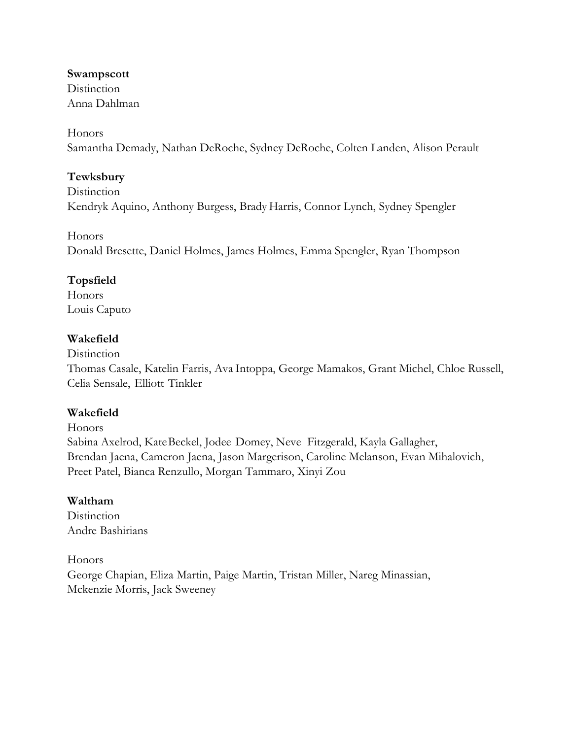#### **Swampscott**

**Distinction** Anna Dahlman

#### Honors

Samantha Demady, Nathan DeRoche, Sydney DeRoche, Colten Landen, Alison Perault

## **Tewksbury**

**Distinction** Kendryk Aquino, Anthony Burgess, Brady Harris, Connor Lynch, Sydney Spengler

Honors

Donald Bresette, Daniel Holmes, James Holmes, Emma Spengler, Ryan Thompson

# **Topsfield**

Honors Louis Caputo

# **Wakefield**

**Distinction** 

Thomas Casale, Katelin Farris, Ava Intoppa, George Mamakos, Grant Michel, Chloe Russell, Celia Sensale, Elliott Tinkler

# **Wakefield**

Honors Sabina Axelrod, KateBeckel, Jodee Domey, Neve Fitzgerald, Kayla Gallagher, Brendan Jaena, Cameron Jaena, Jason Margerison, Caroline Melanson, Evan Mihalovich, Preet Patel, Bianca Renzullo, Morgan Tammaro, Xinyi Zou

# **Waltham**

**Distinction** Andre Bashirians

## Honors

George Chapian, Eliza Martin, Paige Martin, Tristan Miller, Nareg Minassian, Mckenzie Morris, Jack Sweeney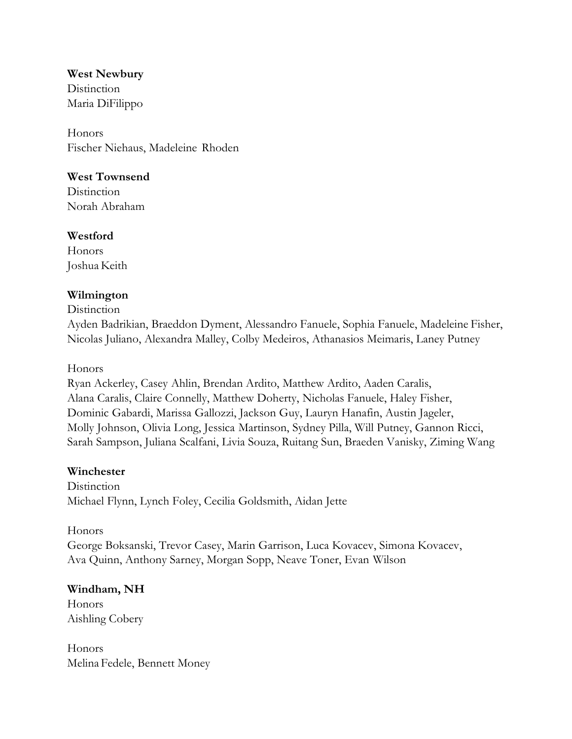**West Newbury Distinction** Maria DiFilippo

Honors Fischer Niehaus, Madeleine Rhoden

### **West Townsend**

**Distinction** Norah Abraham

### **Westford**

**Honors** Joshua Keith

## **Wilmington**

#### **Distinction**

Ayden Badrikian, Braeddon Dyment, Alessandro Fanuele, Sophia Fanuele, Madeleine Fisher, Nicolas Juliano, Alexandra Malley, Colby Medeiros, Athanasios Meimaris, Laney Putney

### Honors

Ryan Ackerley, Casey Ahlin, Brendan Ardito, Matthew Ardito, Aaden Caralis, Alana Caralis, Claire Connelly, Matthew Doherty, Nicholas Fanuele, Haley Fisher, Dominic Gabardi, Marissa Gallozzi, Jackson Guy, Lauryn Hanafin, Austin Jageler, Molly Johnson, Olivia Long, Jessica Martinson, Sydney Pilla, Will Putney, Gannon Ricci, Sarah Sampson, Juliana Scalfani, Livia Souza, Ruitang Sun, Braeden Vanisky, Ziming Wang

## **Winchester**

**Distinction** Michael Flynn, Lynch Foley, Cecilia Goldsmith, Aidan Jette

Honors George Boksanski, Trevor Casey, Marin Garrison, Luca Kovacev, Simona Kovacev, Ava Quinn, Anthony Sarney, Morgan Sopp, Neave Toner, Evan Wilson

## **Windham, NH**

Honors Aishling Cobery

**Honors** Melina Fedele, Bennett Money